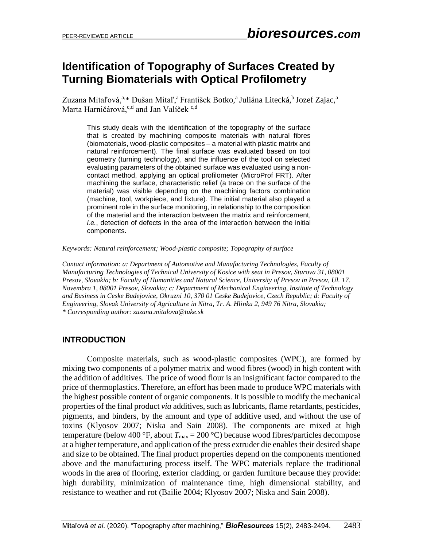## **Identification of Topography of Surfaces Created by Turning Biomaterials with Optical Profilometry**

Zuzana Mitaľová,<sup>a,</sup>\* Dušan Mitaľ,<sup>a</sup> František Botko,<sup>a</sup> Juliána Litecká,<sup>b</sup> Jozef Zajac,<sup>a</sup> Marta Harničárová,<sup>c,d</sup> and Jan Valíček <sup>c,d</sup>

This study deals with the identification of the topography of the surface that is created by machining composite materials with natural fibres (biomaterials, wood-plastic composites – a material with plastic matrix and natural reinforcement). The final surface was evaluated based on tool geometry (turning technology), and the influence of the tool on selected evaluating parameters of the obtained surface was evaluated using a noncontact method, applying an optical profilometer (MicroProf FRT). After machining the surface, characteristic relief (a trace on the surface of the material) was visible depending on the machining factors combination (machine, tool, workpiece, and fixture). The initial material also played a prominent role in the surface monitoring, in relationship to the composition of the material and the interaction between the matrix and reinforcement, *i.e.*, detection of defects in the area of the interaction between the initial components.

*Keywords: Natural reinforcement; Wood-plastic composite; Topography of surface*

*Contact information: a: Department of Automotive and Manufacturing Technologies, Faculty of Manufacturing Technologies of Technical University of Kosice with seat in Presov, Sturova 31, 08001 Presov, Slovakia; b: Faculty of Humanities and Natural Science, University of Presov in Presov, Ul. 17. Novembra 1, 08001 Presov, Slovakia; c: Department of Mechanical Engineering, Institute of Technology and Business in Ceske Budejovice, Okruzni 10, 370 01 Ceske Budejovice, Czech Republic; d: Faculty of Engineering, Slovak University of Agriculture in Nitra, Tr. A. Hlinku 2, 949 76 Nitra, Slovakia; \* Corresponding author: zuzana.mitalova@tuke.sk*

## **INTRODUCTION**

Composite materials, such as wood-plastic composites (WPC), are formed by mixing two components of a polymer matrix and wood fibres (wood) in high content with the addition of additives. The price of wood flour is an insignificant factor compared to the price of thermoplastics. Therefore, an effort has been made to produce WPC materials with the highest possible content of organic components. It is possible to modify the mechanical properties of the final product *via* additives, such as lubricants, flame retardants, pesticides, pigments, and binders, by the amount and type of additive used, and without the use of toxins (Klyosov 2007; Niska and Sain 2008). The components are mixed at high temperature (below 400 °F, about  $T_{\text{max}} = 200 \text{ °C}$ ) because wood fibres/particles decompose at a higher temperature, and application of the press extruder die enables their desired shape and size to be obtained. The final product properties depend on the components mentioned above and the manufacturing process itself. The WPC materials replace the traditional woods in the area of flooring, exterior cladding, or garden furniture because they provide: high durability, minimization of maintenance time, high dimensional stability, and resistance to weather and rot (Bailie 2004; Klyosov 2007; Niska and Sain 2008).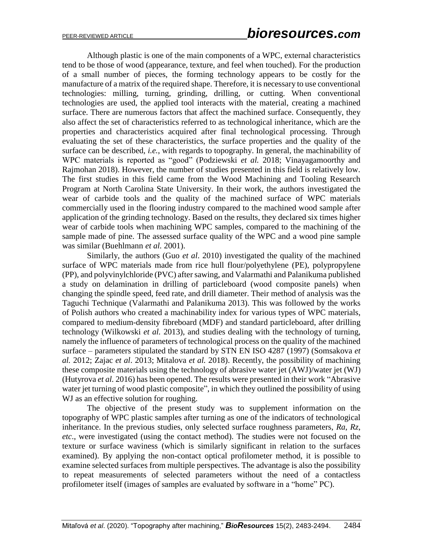Although plastic is one of the main components of a WPC, external characteristics tend to be those of wood (appearance, texture, and feel when touched). For the production of a small number of pieces, the forming technology appears to be costly for the manufacture of a matrix of the required shape. Therefore, it is necessary to use conventional technologies: milling, turning, grinding, drilling, or cutting. When conventional technologies are used, the applied tool interacts with the material, creating a machined surface. There are numerous factors that affect the machined surface. Consequently, they also affect the set of characteristics referred to as technological inheritance, which are the properties and characteristics acquired after final technological processing. Through evaluating the set of these characteristics, the surface properties and the quality of the surface can be described, *i.e.*, with regards to topography. In general, the machinability of WPC materials is reported as "good" (Podziewski *et al.* 2018; Vinayagamoorthy and Rajmohan 2018). However, the number of studies presented in this field is relatively low. The first studies in this field came from the Wood Machining and Tooling Research Program at North Carolina State University. In their work, the authors investigated the wear of carbide tools and the quality of the machined surface of WPC materials commercially used in the flooring industry compared to the machined wood sample after application of the grinding technology. Based on the results, they declared six times higher wear of carbide tools when machining WPC samples, compared to the machining of the sample made of pine. The assessed surface quality of the WPC and a wood pine sample was similar (Buehlmann *et al.* 2001).

Similarly, the authors (Guo *et al*. 2010) investigated the quality of the machined surface of WPC materials made from rice hull flour/polyethylene (PE), polypropylene (PP), and polyvinylchloride (PVC) after sawing, and Valarmathi and Palanikuma published a study on delamination in drilling of particleboard (wood composite panels) when changing the spindle speed, feed rate, and drill diameter. Their method of analysis was the Taguchi Technique (Valarmathi and Palanikuma 2013). This was followed by the works of Polish authors who created a machinability index for various types of WPC materials, compared to medium-density fibreboard (MDF) and standard particleboard, after drilling technology (Wilkowski *et al.* 2013), and studies dealing with the technology of turning, namely the influence of parameters of technological process on the quality of the machined surface – parameters stipulated the standard by STN EN ISO 4287 (1997) (Somsakova *et al.* 2012; Zajac *et al*. 2013; Mitalova *et al.* 2018). Recently, the possibility of machining these composite materials using the technology of abrasive water jet (AWJ)/water jet (WJ) (Hutyrova *et al.* 2016) has been opened. The results were presented in their work "Abrasive water jet turning of wood plastic composite", in which they outlined the possibility of using WJ as an effective solution for roughing.

The objective of the present study was to supplement information on the topography of WPC plastic samples after turning as one of the indicators of technological inheritance. In the previous studies, only selected surface roughness parameters, *Ra*, *Rz*, *etc*., were investigated (using the contact method). The studies were not focused on the texture or surface waviness (which is similarly significant in relation to the surfaces examined). By applying the non-contact optical profilometer method, it is possible to examine selected surfaces from multiple perspectives. The advantage is also the possibility to repeat measurements of selected parameters without the need of a contactless profilometer itself (images of samples are evaluated by software in a "home" PC).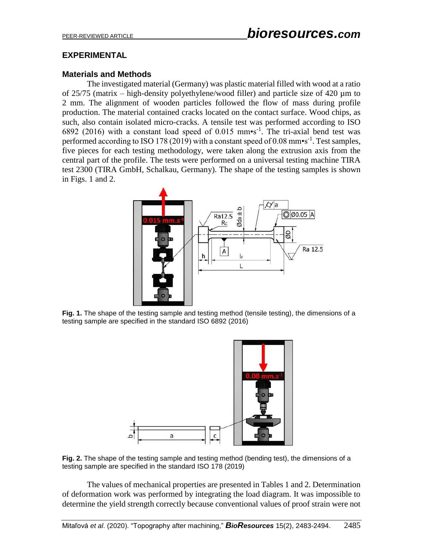## **EXPERIMENTAL**

### **Materials and Methods**

The investigated material (Germany) was plastic material filled with wood at a ratio of  $25/75$  (matrix – high-density polyethylene/wood filler) and particle size of 420  $\mu$ m to 2 mm. The alignment of wooden particles followed the flow of mass during profile production. The material contained cracks located on the contact surface. Wood chips, as such, also contain isolated micro-cracks. A tensile test was performed according to ISO 6892 (2016) with a constant load speed of 0.015 mm $\cdot$ s<sup>-1</sup>. The tri-axial bend test was performed according to ISO 178 (2019) with a constant speed of 0.08 mm•s<sup>-1</sup>. Test samples, five pieces for each testing methodology, were taken along the extrusion axis from the central part of the profile. The tests were performed on a universal testing machine TIRA test 2300 (TIRA GmbH, Schalkau, Germany). The shape of the testing samples is shown in Figs. 1 and 2.



**Fig. 1.** The shape of the testing sample and testing method (tensile testing), the dimensions of a testing sample are specified in the standard ISO 6892 (2016)



**Fig. 2.** The shape of the testing sample and testing method (bending test), the dimensions of a testing sample are specified in the standard ISO 178 (2019)

The values of mechanical properties are presented in Tables 1 and 2. Determination of deformation work was performed by integrating the load diagram. It was impossible to determine the yield strength correctly because conventional values of proof strain were not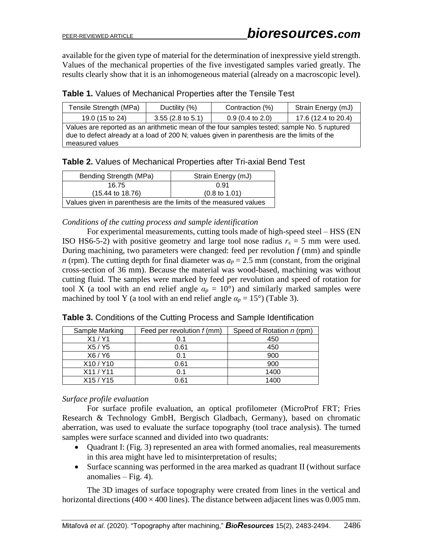available for the given type of material for the determination of inexpressive yield strength. Values of the mechanical properties of the five investigated samples varied greatly. The results clearly show that it is an inhomogeneous material (already on a macroscopic level).

| Tensile Strength (MPa)                                                                                                                                                                                        | Ductility (%)               | Contraction (%)            | Strain Energy (mJ)  |  |
|---------------------------------------------------------------------------------------------------------------------------------------------------------------------------------------------------------------|-----------------------------|----------------------------|---------------------|--|
| 19.0 (15 to 24)                                                                                                                                                                                               | $3.55(2.8 \text{ to } 5.1)$ | $0.9(0.4 \text{ to } 2.0)$ | 17.6 (12.4 to 20.4) |  |
| Values are reported as an arithmetic mean of the four samples tested; sample No. 5 ruptured<br>due to defect already at a load of 200 N; values given in parenthesis are the limits of the<br>measured values |                             |                            |                     |  |

**Table 2.** Values of Mechanical Properties after Tri-axial Bend Test

| Bending Strength (MPa)                                            | Strain Energy (mJ)       |  |  |
|-------------------------------------------------------------------|--------------------------|--|--|
| 16.75                                                             | በ 91                     |  |  |
| $(15.44 \text{ to } 18.76)$                                       | $(0.8 \text{ to } 1.01)$ |  |  |
| Values given in parenthesis are the limits of the measured values |                          |  |  |

#### *Conditions of the cutting process and sample identification*

For experimental measurements, cutting tools made of high-speed steel – HSS (EN ISO HS6-5-2) with positive geometry and large tool nose radius  $r_{\epsilon} = 5$  mm were used. During machining, two parameters were changed: feed per revolution  $f$  (mm) and spindle *n* (rpm). The cutting depth for final diameter was  $a_p = 2.5$  mm (constant, from the original cross-section of 36 mm). Because the material was wood-based, machining was without cutting fluid. The samples were marked by feed per revolution and speed of rotation for tool X (a tool with an end relief angle  $\alpha_p = 10^{\circ}$ ) and similarly marked samples were machined by tool Y (a tool with an end relief angle  $\alpha_p = 15^{\circ}$ ) (Table 3).

| Sample Marking | Feed per revolution $f$ (mm) | Speed of Rotation n (rpm) |
|----------------|------------------------------|---------------------------|
| X1/Y1          | 0.1                          | 450                       |
| X5 / Y5        | 0.61                         | 450                       |
| X6 / Y6        | 0.1                          | 900                       |
| X10/Y10        | 0.61                         | 900                       |
| X11/Y11        | 0.1                          | 1400                      |
| X15 / Y15      | 0.61                         | 1400                      |

**Table 3.** Conditions of the Cutting Process and Sample Identification

### *Surface profile evaluation*

For surface profile evaluation, an optical profilometer (MicroProf FRT; Fries Research & Technology GmbH, Bergisch Gladbach, Germany), based on chromatic aberration, was used to evaluate the surface topography (tool trace analysis). The turned samples were surface scanned and divided into two quadrants:

- Quadrant I: (Fig. 3) represented an area with formed anomalies, real measurements in this area might have led to misinterpretation of results;
- Surface scanning was performed in the area marked as quadrant II (without surface anomalies – Fig. 4).

The 3D images of surface topography were created from lines in the vertical and horizontal directions ( $400 \times 400$  lines). The distance between adjacent lines was 0.005 mm.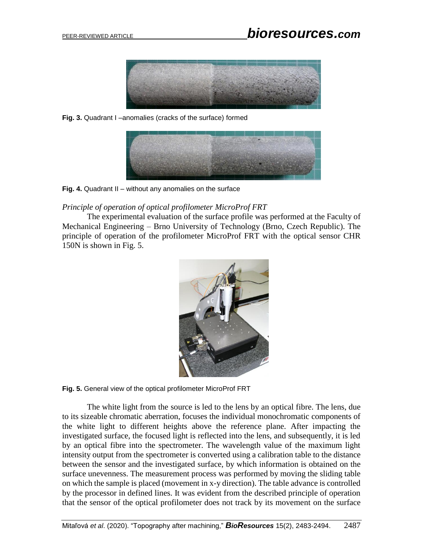

**Fig. 3.** Quadrant I –anomalies (cracks of the surface) formed



**Fig. 4.** Quadrant II – without any anomalies on the surface

*Principle of operation of optical profilometer MicroProf FRT*

The experimental evaluation of the surface profile was performed at the Faculty of Mechanical Engineering – Brno University of Technology (Brno, Czech Republic). The principle of operation of the profilometer MicroProf FRT with the optical sensor CHR 150N is shown in Fig. 5.



**Fig. 5.** General view of the optical profilometer MicroProf FRT

The white light from the source is led to the lens by an optical fibre. The lens, due to its sizeable chromatic aberration, focuses the individual monochromatic components of the white light to different heights above the reference plane. After impacting the investigated surface, the focused light is reflected into the lens, and subsequently, it is led by an optical fibre into the spectrometer. The wavelength value of the maximum light intensity output from the spectrometer is converted using a calibration table to the distance between the sensor and the investigated surface, by which information is obtained on the surface unevenness. The measurement process was performed by moving the sliding table on which the sample is placed (movement in x-y direction). The table advance is controlled by the processor in defined lines. It was evident from the described principle of operation that the sensor of the optical profilometer does not track by its movement on the surface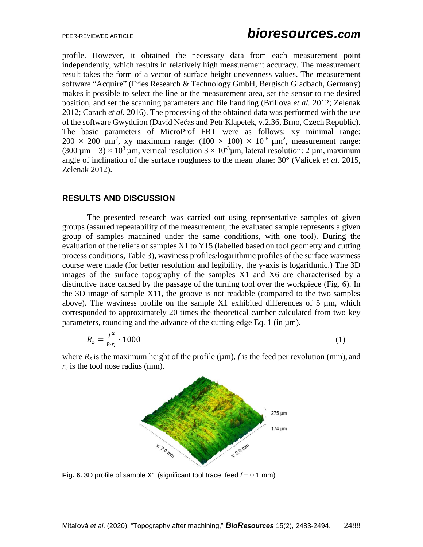profile. However, it obtained the necessary data from each measurement point independently, which results in relatively high measurement accuracy. The measurement result takes the form of a vector of surface height unevenness values. The measurement software "Acquire" (Fries Research & Technology GmbH, Bergisch Gladbach, Germany) makes it possible to select the line or the measurement area, set the sensor to the desired position, and set the scanning parameters and file handling (Brillova *et al.* 2012; Zelenak 2012; Carach *et al.* 2016). The processing of the obtained data was performed with the use of the software Gwyddion (David Nečas and [Petr Klapetek,](http://klapetek.cz/) v.2.36, Brno, Czech Republic). The basic parameters of MicroProf FRT were as follows: xy minimal range:  $200 \times 200 \text{ }\mu\text{m}^2$ , xy maximum range:  $(100 \times 100) \times 10^{-6} \text{ }\mu\text{m}^2$ , measurement range:  $(300 \,\mu\,\text{m} - 3) \times 10^3 \,\mu\,\text{m}$ , vertical resolution  $3 \times 10^3 \,\mu\,\text{m}$ , lateral resolution: 2  $\mu$ m, maximum angle of inclination of the surface roughness to the mean plane: 30° (Valicek *et al*. 2015, Zelenak 2012).

#### **RESULTS AND DISCUSSION**

The presented research was carried out using representative samples of given groups (assured repeatability of the measurement, the evaluated sample represents a given group of samples machined under the same conditions, with one tool). During the evaluation of the reliefs of samples X1 to Y15 (labelled based on tool geometry and cutting process conditions, Table 3), waviness profiles/logarithmic profiles of the surface waviness course were made (for better resolution and legibility, the y-axis is logarithmic.) The 3D images of the surface topography of the samples X1 and X6 are characterised by a distinctive trace caused by the passage of the turning tool over the workpiece (Fig. 6). In the 3D image of sample X11, the groove is not readable (compared to the two samples above). The waviness profile on the sample  $X1$  exhibited differences of 5  $\mu$ m, which corresponded to approximately 20 times the theoretical camber calculated from two key parameters, rounding and the advance of the cutting edge Eq. 1 (in  $\mu$ m).

$$
R_z = \frac{f^2}{8r_\varepsilon} \cdot 1000\tag{1}
$$

where  $R_z$  is the maximum height of the profile ( $\mu$ m), *f* is the feed per revolution (mm), and  $r_{\varepsilon}$  is the tool nose radius (mm).



**Fig. 6.** 3D profile of sample X1 (significant tool trace, feed *f* = 0.1 mm)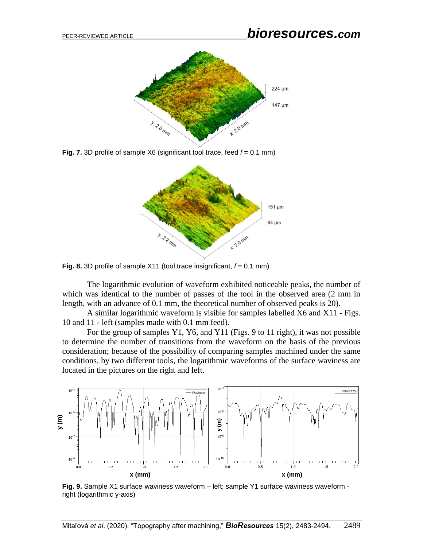

**Fig. 7.** 3D profile of sample X6 (significant tool trace, feed  $f = 0.1$  mm)



**Fig. 8.** 3D profile of sample X11 (tool trace insignificant, *f* = 0.1 mm)

The logarithmic evolution of waveform exhibited noticeable peaks, the number of which was identical to the number of passes of the tool in the observed area (2 mm in length, with an advance of 0.1 mm, the theoretical number of observed peaks is 20).

A similar logarithmic waveform is visible for samples labelled X6 and X11 - Figs. 10 and 11 - left (samples made with 0.1 mm feed).

For the group of samples Y1, Y6, and Y11 (Figs. 9 to 11 right), it was not possible to determine the number of transitions from the waveform on the basis of the previous consideration; because of the possibility of comparing samples machined under the same conditions, by two different tools, the logarithmic waveforms of the surface waviness are located in the pictures on the right and left.



**Fig. 9.** Sample X1 surface waviness waveform – left; sample Y1 surface waviness waveform right (logarithmic y-axis)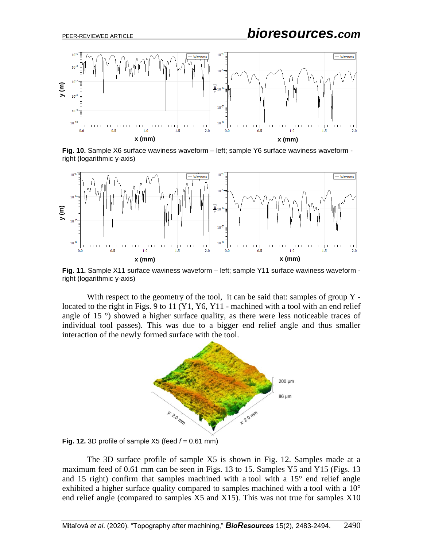# PEER-REVIEWED ARTICLE *bioresources.com*



**Fig. 10.** Sample X6 surface waviness waveform – left; sample Y6 surface waviness waveform right (logarithmic y-axis)



**Fig. 11.** Sample X11 surface waviness waveform – left; sample Y11 surface waviness waveform right (logarithmic y-axis)

With respect to the geometry of the tool, it can be said that: samples of group Y located to the right in Figs. 9 to 11 (Y1, Y6, Y11 - machined with a tool with an end relief angle of 15 °) showed a higher surface quality, as there were less noticeable traces of individual tool passes). This was due to a bigger end relief angle and thus smaller interaction of the newly formed surface with the tool.



**Fig. 12.** 3D profile of sample  $X5$  (feed  $f = 0.61$  mm)

The 3D surface profile of sample X5 is shown in Fig. 12. Samples made at a maximum feed of 0.61 mm can be seen in Figs. 13 to 15. Samples Y5 and Y15 (Figs. 13 and 15 right) confirm that samples machined with a tool with a  $15^{\circ}$  end relief angle exhibited a higher surface quality compared to samples machined with a tool with a 10° end relief angle (compared to samples X5 and X15). This was not true for samples X10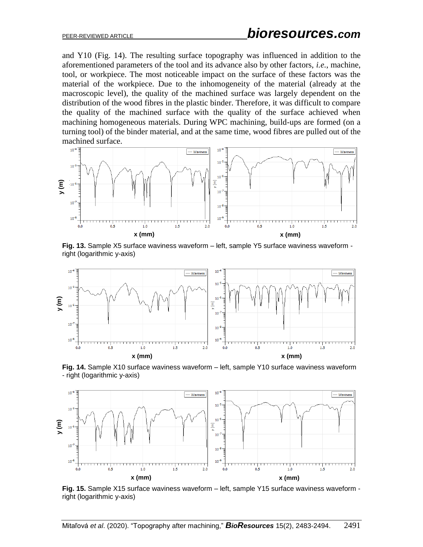and Y10 (Fig. 14). The resulting surface topography was influenced in addition to the aforementioned parameters of the tool and its advance also by other factors, *i.e.*, machine, tool, or workpiece. The most noticeable impact on the surface of these factors was the material of the workpiece. Due to the inhomogeneity of the material (already at the macroscopic level), the quality of the machined surface was largely dependent on the distribution of the wood fibres in the plastic binder. Therefore, it was difficult to compare the quality of the machined surface with the quality of the surface achieved when machining homogeneous materials. During WPC machining, build-ups are formed (on a turning tool) of the binder material, and at the same time, wood fibres are pulled out of the machined surface.



**Fig. 13.** Sample X5 surface waviness waveform – left, sample Y5 surface waviness waveform right (logarithmic y-axis)



**Fig. 14.** Sample X10 surface waviness waveform – left, sample Y10 surface waviness waveform - right (logarithmic y-axis)



**Fig. 15.** Sample X15 surface waviness waveform – left, sample Y15 surface waviness waveform right (logarithmic y-axis)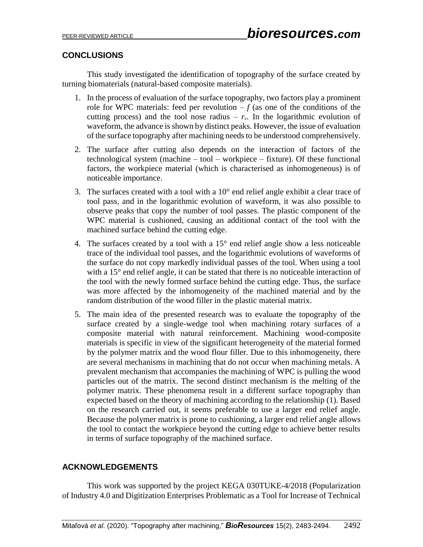## **CONCLUSIONS**

This study investigated the identification of topography of the surface created by turning biomaterials (natural-based composite materials).

- 1. In the process of evaluation of the surface topography, two factors play a prominent role for WPC materials: feed per revolution  $-f$  (as one of the conditions of the cutting process) and the tool nose radius –  $r_{\epsilon}$ . In the logarithmic evolution of waveform, the advance is shown by distinct peaks. However, the issue of evaluation of the surface topography after machining needs to be understood comprehensively.
- 2. The surface after cutting also depends on the interaction of factors of the technological system (machine – tool – workpiece – fixture). Of these functional factors, the workpiece material (which is characterised as inhomogeneous) is of noticeable importance.
- 3. The surfaces created with a tool with a  $10^{\circ}$  end relief angle exhibit a clear trace of tool pass, and in the logarithmic evolution of waveform, it was also possible to observe peaks that copy the number of tool passes. The plastic component of the WPC material is cushioned, causing an additional contact of the tool with the machined surface behind the cutting edge.
- 4. The surfaces created by a tool with a 15° end relief angle show a less noticeable trace of the individual tool passes, and the logarithmic evolutions of waveforms of the surface do not copy markedly individual passes of the tool. When using a tool with a 15° end relief angle, it can be stated that there is no noticeable interaction of the tool with the newly formed surface behind the cutting edge. Thus, the surface was more affected by the inhomogeneity of the machined material and by the random distribution of the wood filler in the plastic material matrix.
- 5. The main idea of the presented research was to evaluate the topography of the surface created by a single-wedge tool when machining rotary surfaces of a composite material with natural reinforcement. Machining wood-composite materials is specific in view of the significant heterogeneity of the material formed by the polymer matrix and the wood flour filler. Due to this inhomogeneity, there are several mechanisms in machining that do not occur when machining metals. A prevalent mechanism that accompanies the machining of WPC is pulling the wood particles out of the matrix. The second distinct mechanism is the melting of the polymer matrix. These phenomena result in a different surface topography than expected based on the theory of machining according to the relationship (1). Based on the research carried out, it seems preferable to use a larger end relief angle. Because the polymer matrix is prone to cushioning, a larger end relief angle allows the tool to contact the workpiece beyond the cutting edge to achieve better results in terms of surface topography of the machined surface.

## **ACKNOWLEDGEMENTS**

This work was supported by the project KEGA 030TUKE-4/2018 (Popularization of Industry 4.0 and Digitization Enterprises Problematic as a Tool for Increase of Technical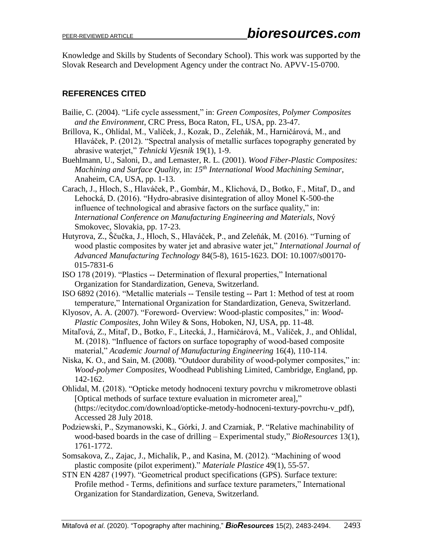Knowledge and Skills by Students of Secondary School). This work was supported by the Slovak Research and Development Agency under the contract No. APVV-15-0700.

## **REFERENCES CITED**

- Bailie, C. (2004). "Life cycle assessment," in: *Green Composites, Polymer Composites and the Environment*, CRC Press, Boca Raton, FL, USA, pp. 23-47.
- Brillova, K., Ohlídal, M., Valíček, J., Kozak, D., Zeleňák, M., Harničárová, M., and Hlaváček, P. (2012). "Spectral analysis of metallic surfaces topography generated by abrasive waterjet," *Tehnicki Vjesnik* 19(1), 1-9.
- Buehlmann, U., Saloni, D., and Lemaster, R. L. (2001). *Wood Fiber-Plastic Composites: Machining and Surface Quality*, in: *15th International Wood Machining Seminar*, Anaheim, CA, USA, pp. 1-13.
- Carach, J., Hloch, S., Hlaváček, P., Gombár, M., Klichová, D., Botko, F., Mitaľ, D., and Lehocká, D. (2016). "Hydro-abrasive disintegration of alloy Monel K-500-the influence of technological and abrasive factors on the surface quality," in: *International Conference on Manufacturing Engineering and Materials*, Nový Smokovec, Slovakia, pp. 17-23.
- Hutyrova, Z., Ščučka, J., Hloch, S., Hlaváček, P., and Zeleňák, M. (2016). "Turning of wood plastic composites by water jet and abrasive water jet," *International Journal of Advanced Manufacturing Technology* 84(5-8), 1615-1623. DOI: 10.1007/s00170- 015-7831-6
- ISO 178 (2019). "Plastics -- Determination of flexural properties," International Organization for Standardization, Geneva, Switzerland.
- ISO 6892 (2016). "Metallic materials -- Tensile testing -- Part 1: Method of test at room temperature," International Organization for Standardization, Geneva, Switzerland.
- Klyosov, A. A. (2007). "Foreword- Overview: Wood-plastic composites," in: *Wood-Plastic Composites*, John Wiley & Sons, Hoboken, NJ, USA, pp. 11-48.
- Mitaľová, Z., Mitaľ, D., Botko, F., Litecká, J., Harničárová, M., Valíček, J., and Ohlídal, M. (2018). "Influence of factors on surface topography of wood-based composite material," *Academic Journal of Manufacturing Engineering* 16(4), 110-114.
- Niska, K. O., and Sain, M. (2008). "Outdoor durability of wood-polymer composites," in: *Wood-polymer Composites*, Woodhead Publishing Limited, Cambridge, England, pp. 142-162.
- Ohlidal, M. (2018). "Opticke metody hodnoceni textury povrchu v mikrometrove oblasti [Optical methods of surface texture evaluation in micrometer area]," (https://ecitydoc.com/download/opticke-metody-hodnoceni-textury-povrchu-v\_pdf), Accessed 28 July 2018.
- Podziewski, P., Szymanowski, K., Górki, J. and Czarniak, P. "Relative machinability of wood-based boards in the case of drilling – Experimental study," *BioResources* 13(1), 1761-1772.
- Somsakova, Z., Zajac, J., Michalik, P., and Kasina, M. (2012). "Machining of wood plastic composite (pilot experiment)." *Materiale Plastice* 49(1), 55-57.
- STN EN 4287 (1997). "Geometrical product specifications (GPS). Surface texture: Profile method - Terms, definitions and surface texture parameters," International Organization for Standardization, Geneva, Switzerland.